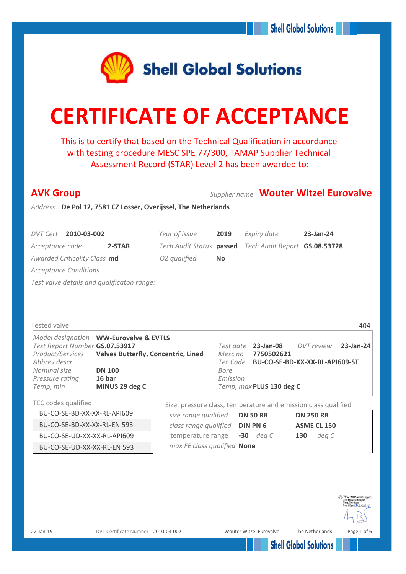

# **CERTIFICATE OF ACCEPTANCE**

This is to certify that based on the Technical Qualification in accordance with testing procedure MESC SPE 77/300, TAMAP Supplier Technical Assessment Record (STAR) Level-2 has been awarded to:

| <b>AVK Group</b>                                                                                 |                                                        |             |                                           | <b>Supplier name Wouter Witzel Eurovalve</b>                   |
|--------------------------------------------------------------------------------------------------|--------------------------------------------------------|-------------|-------------------------------------------|----------------------------------------------------------------|
| Address De Pol 12, 7581 CZ Losser, Overijssel, The Netherlands                                   |                                                        |             |                                           |                                                                |
|                                                                                                  |                                                        |             |                                           |                                                                |
| DVT Cert 2010-03-002                                                                             | Year of issue                                          | 2019        | Expiry date                               | 23-Jan-24                                                      |
| Acceptance code<br>2-STAR                                                                        | Tech Audit Status passed Tech Audit Report GS.08.53728 |             |                                           |                                                                |
| Awarded Criticality Class md                                                                     | O2 qualified                                           | <b>No</b>   |                                           |                                                                |
| <b>Acceptance Conditions</b>                                                                     |                                                        |             |                                           |                                                                |
| Test valve details and qualificaton range:                                                       |                                                        |             |                                           |                                                                |
|                                                                                                  |                                                        |             |                                           |                                                                |
|                                                                                                  |                                                        |             |                                           |                                                                |
|                                                                                                  |                                                        |             |                                           |                                                                |
| Tested valve                                                                                     |                                                        |             |                                           | 404                                                            |
| Model designation WW-Eurovalve & EVTLS                                                           |                                                        |             |                                           |                                                                |
| Test Report Number GS.07.53917<br>Product/Services<br><b>Valves Butterfly, Concentric, Lined</b> |                                                        |             | Test date 23-Jan-08<br>Mesc no 7750502621 | DVT review<br>23-Jan-24                                        |
| Abbrev descr                                                                                     |                                                        |             |                                           | Tec Code BU-CO-SE-BD-XX-XX-RL-API609-ST                        |
| Nominal size<br><b>DN 100</b>                                                                    |                                                        | <b>Bore</b> |                                           |                                                                |
| 16 bar<br>Pressure rating<br>MINUS 29 deg C<br>Temp, min                                         |                                                        | Emission    | Temp, max PLUS 130 deg C                  |                                                                |
|                                                                                                  |                                                        |             |                                           |                                                                |
| TEC codes qualified                                                                              |                                                        |             |                                           | Size, pressure class, temperature and emission class qualified |
| BU-CO-SE-BD-XX-XX-RL-API609                                                                      | size range qualified                                   |             | <b>DN 50 RB</b>                           | <b>DN 250 RB</b>                                               |
| BU-CO-SE-BD-XX-XX-RL-EN 593                                                                      | class range qualified <b>DIN PN 6</b>                  |             |                                           | <b>ASME CL 150</b>                                             |
| BU-CO-SE-UD-XX-XX-RL-API609                                                                      | temperature range                                      |             | $-30$ dea C                               | deg C<br>130                                                   |
| BU-CO-SE-UD-XX-XX-RL-EN 593                                                                      | max FE class qualified None                            |             |                                           |                                                                |

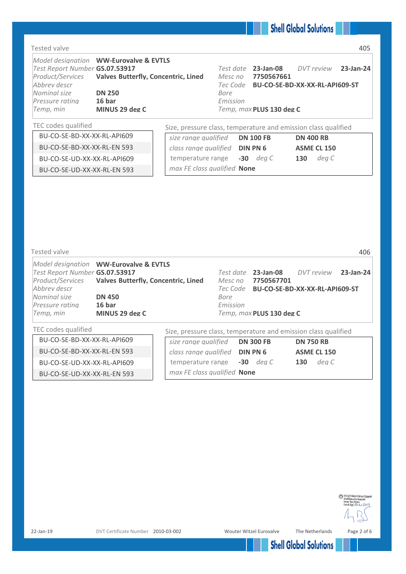#### Tested valve 405

| Test Report Number GS.07.53917 | Model designation WW-Eurovalve & EVTLS<br>Product/Services Valves Butterfly, Concentric, Lined |                                                                | Mesc no  | Test date 23-Jan-08<br>7750567661       | DVT review | 23-Jan-24 |
|--------------------------------|------------------------------------------------------------------------------------------------|----------------------------------------------------------------|----------|-----------------------------------------|------------|-----------|
| Abbrey descr                   |                                                                                                |                                                                |          | Tec Code BU-CO-SE-BD-XX-XX-RL-API609-ST |            |           |
| Nominal size                   | <b>DN 250</b>                                                                                  |                                                                | Bore     |                                         |            |           |
| Pressure rating                | 16 bar                                                                                         |                                                                | Emission |                                         |            |           |
| Temp, min                      | MINUS 29 deg C                                                                                 |                                                                |          | Temp, max PLUS 130 deg C                |            |           |
| TEC codes qualified            |                                                                                                | Size, pressure class, temperature and emission class qualified |          |                                         |            |           |

| Tested valve                   |                                                      |                                                                |           |                          |                                         | 406       |
|--------------------------------|------------------------------------------------------|----------------------------------------------------------------|-----------|--------------------------|-----------------------------------------|-----------|
|                                | Model designation WW-Eurovalve & EVTLS               |                                                                |           |                          |                                         |           |
| Test Report Number GS.07.53917 |                                                      |                                                                | Test date | 23-Jan-08                | DVT review                              | 23-Jan-24 |
|                                | Product/Services Valves Butterfly, Concentric, Lined |                                                                | Mesc no   | 7750567701               |                                         |           |
| Abbrey descr                   |                                                      |                                                                |           |                          | Tec Code BU-CO-SE-BD-XX-XX-RL-API609-ST |           |
| Nominal size                   | <b>DN 450</b>                                        | Bore                                                           |           |                          |                                         |           |
| Pressure rating                | 16 <sub>bar</sub>                                    |                                                                | Emission  |                          |                                         |           |
| Temp, min                      | MINUS 29 deg C                                       |                                                                |           | Temp, max PLUS 130 deg C |                                         |           |
| TEC codes qualified            |                                                      | Size, pressure class, temperature and emission class qualified |           |                          |                                         |           |

|                             | <u>ULC, pressure class, temperature and chilission class qualified</u> |                  |
|-----------------------------|------------------------------------------------------------------------|------------------|
| BU-CO-SE-BD-XX-XX-RL-API609 | size range qualified <b>DN 300 FB</b>                                  | <b>DN 750 RB</b> |
| BU-CO-SE-BD-XX-XX-RL-EN 593 | class range qualified <b>DIN PN 6</b>                                  | ASME CL 150      |
| BU-CO-SE-UD-XX-XX-RL-API609 | temperature range -30 deg C                                            | dea C<br>130     |
| BU-CO-SE-UD-XX-XX-RL-EN 593 | max FE class qualified <b>None</b>                                     |                  |

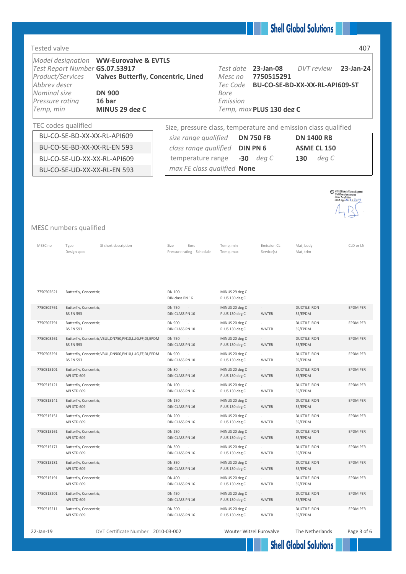#### Tested valve 407

| Product/Services<br>Abbrev descr<br>Nominal size<br>Pressure rating<br>Temp, min |                                           | Model designation WW-Eurovalve & EVTLS<br>Test Report Number GS.07.53917<br><b>Valves Butterfly, Concentric, Lined</b><br><b>DN 900</b><br>16 bar<br>MINUS 29 deg C |                                                                | Test date 23-Jan-08<br>Mesc no<br>Tec Code<br>Bore<br>Emission | 7750515291<br>Temp, max PLUS 130 deg C   | DVT review<br>BU-CO-SE-BD-XX-XX-RL-API609-ST | 23-Jan-24                                                                                                     |
|----------------------------------------------------------------------------------|-------------------------------------------|---------------------------------------------------------------------------------------------------------------------------------------------------------------------|----------------------------------------------------------------|----------------------------------------------------------------|------------------------------------------|----------------------------------------------|---------------------------------------------------------------------------------------------------------------|
| TEC codes qualified                                                              |                                           |                                                                                                                                                                     | Size, pressure class, temperature and emission class qualified |                                                                |                                          |                                              |                                                                                                               |
|                                                                                  |                                           | BU-CO-SE-BD-XX-XX-RL-API609<br>BU-CO-SE-BD-XX-XX-RL-EN 593                                                                                                          | size range qualified                                           |                                                                | <b>DN 750 FB</b>                         | <b>DN 1400 RB</b>                            |                                                                                                               |
|                                                                                  |                                           | BU-CO-SE-UD-XX-XX-RL-API609                                                                                                                                         | class range qualified<br>temperature range                     |                                                                | <b>DIN PN 6</b><br>$-30$ deg C           | <b>ASME CL 150</b><br>deg C<br>130           |                                                                                                               |
|                                                                                  |                                           | BU-CO-SE-UD-XX-XX-RL-EN 593                                                                                                                                         | max FE class qualified None                                    |                                                                |                                          |                                              |                                                                                                               |
|                                                                                  |                                           |                                                                                                                                                                     |                                                                |                                                                |                                          |                                              |                                                                                                               |
| MESC numbers qualified                                                           |                                           |                                                                                                                                                                     |                                                                |                                                                |                                          |                                              | MR VS-021 Mech.Valves Support<br>Shell Enterprise Accepted<br>Name: Tony Bolton<br>Date & Sign: 2.1/1, / 2019 |
| MESC no                                                                          | Type<br>Design spec                       | SI short description                                                                                                                                                | Size<br>Bore<br>Pressure rating Schedule                       | Temp, min<br>Temp, max                                         | <b>Emission CL</b><br>Service(s)         | Mat, body<br>Mat, trim                       | CLD or LN                                                                                                     |
| 7750502621                                                                       | Butterfly, Concentric                     |                                                                                                                                                                     | DN 100<br>DIN class PN 16                                      | MINUS 29 deg C<br>PLUS 130 deg C                               |                                          |                                              |                                                                                                               |
| 7750502761                                                                       | Butterfly, Concentric<br><b>BS EN 593</b> |                                                                                                                                                                     | <b>DN 750</b><br>DIN CLASS PN 10                               | MINUS 20 deg C<br>PLUS 130 deg C                               | <b>WATER</b>                             | <b>DUCTILE IRON</b><br>SS/EPDM               | <b>EPDM PER</b>                                                                                               |
| 7750502791                                                                       | Butterfly, Concentric<br><b>BS EN 593</b> |                                                                                                                                                                     | DN 900<br>DIN CLASS PN 10                                      | MINUS 20 deg C<br>PLUS 130 deg C                               | WATER                                    | <b>DUCTILE IRON</b><br>SS/EPDM               | <b>EPDM PER</b>                                                                                               |
| 7750503261                                                                       | <b>BS EN 593</b>                          | Butterfly, Concentric VBUL, DN750, PN10, LUG, FF, DI, EPDM                                                                                                          | <b>DN 750</b><br>$\overline{\phantom{a}}$<br>DIN CLASS PN 10   | MINUS 20 deg C<br>PLUS 130 deg C                               | $\overline{\phantom{a}}$<br><b>WATER</b> | <b>DUCTILE IRON</b><br>SS/EPDM               | <b>EPDM PER</b>                                                                                               |
| 7750503291                                                                       | <b>BS EN 593</b>                          | Butterfly, Concentric VBUL, DN900, PN10, LUG, FF, DI, EPDM                                                                                                          | DN 900<br>DIN CLASS PN 10                                      | MINUS 20 deg C<br>PLUS 130 deg C                               | WATER                                    | <b>DUCTILE IRON</b><br>SS/EPDM               | EPDM PER                                                                                                      |
| 7750515101                                                                       | Butterfly, Concentric<br>API STD 609      |                                                                                                                                                                     | <b>DN 80</b><br>$\sim$<br>DIN CLASS PN 16                      | MINUS 20 deg C<br>PLUS 130 deg C                               | $\overline{\phantom{a}}$<br>WATER        | <b>DUCTILE IRON</b><br>SS/EPDM               | EPDM PER                                                                                                      |
| 7750515121                                                                       | Butterfly, Concentric<br>API STD 609      |                                                                                                                                                                     | DN 100<br>$\sim$<br>DIN CLASS PN 16                            | MINUS 20 deg C<br>PLUS 130 deg C                               | WATER                                    | <b>DUCTILE IRON</b><br>SS/EPDM               | EPDM PER                                                                                                      |
| 7750515141                                                                       | Butterfly, Concentric<br>API STD 609      |                                                                                                                                                                     | <b>DN 150</b><br>$\sim$ $-$<br>DIN CLASS PN 16                 | MINUS 20 deg C<br>PLUS 130 deg C                               | $\sim$<br>WATER                          | <b>DUCTILE IRON</b><br>SS/EPDM               | EPDM PER                                                                                                      |
| 7750515151                                                                       | Butterfly, Concentric<br>API STD 609      |                                                                                                                                                                     | DN 200<br>DIN CLASS PN 16                                      | MINUS 20 deg C<br>PLUS 130 deg C                               | WATER                                    | <b>DUCTILE IRON</b><br>SS/EPDM               | EPDM PER                                                                                                      |
| 7750515161                                                                       | Butterfly, Concentric<br>API STD 609      |                                                                                                                                                                     | <b>DN 250</b><br>$\sim$ $-$<br>DIN CLASS PN 16                 | MINUS 20 deg C<br>PLUS 130 deg C                               | $\overline{\phantom{a}}$<br>WATER        | <b>DUCTILE IRON</b><br>SS/EPDM               | EPDM PER                                                                                                      |
| 7750515171                                                                       | Butterfly, Concentric<br>API STD 609      |                                                                                                                                                                     | DN 300<br>$\sim$<br>DIN CLASS PN 16                            | MINUS 20 deg C<br>PLUS 130 deg C                               | WATER                                    | <b>DUCTILE IRON</b><br>SS/EPDM               | EPDM PER                                                                                                      |
| 7750515181                                                                       | Butterfly, Concentric<br>API STD 609      |                                                                                                                                                                     | DN 350<br>$\sim$ $-$<br>DIN CLASS PN 16                        | MINUS 20 deg C<br>PLUS 130 deg C                               | $\overline{\phantom{a}}$<br>WATER        | <b>DUCTILE IRON</b><br>SS/EPDM               | EPDM PER                                                                                                      |
| 7750515191                                                                       | Butterfly, Concentric<br>API STD 609      |                                                                                                                                                                     | DN 400<br>$\overline{\phantom{a}}$<br>DIN CLASS PN 16          | MINUS 20 deg C<br>PLUS 130 deg C                               | WATER                                    | <b>DUCTILE IRON</b><br>SS/EPDM               | EPDM PER                                                                                                      |
| 7750515201                                                                       | Butterfly, Concentric<br>API STD 609      |                                                                                                                                                                     | DN 450<br>$\sim$<br>DIN CLASS PN 16                            | MINUS 20 deg C<br>PLUS 130 deg C                               | $\overline{\phantom{a}}$<br>WATER        | <b>DUCTILE IRON</b><br>SS/EPDM               | EPDM PER                                                                                                      |
| 7750515211                                                                       | Butterfly, Concentric<br>API STD 609      |                                                                                                                                                                     | DN 500<br>DIN CLASS PN 16                                      | MINUS 20 deg C<br>PLUS 130 deg C                               | WATER                                    | <b>DUCTILE IRON</b><br>SS/EPDM               | EPDM PER                                                                                                      |

22-Jan-19 DVT Certificate Number 2010-03-002 Wouter Witzel Eurovalve The Netherlands Page 3 of 6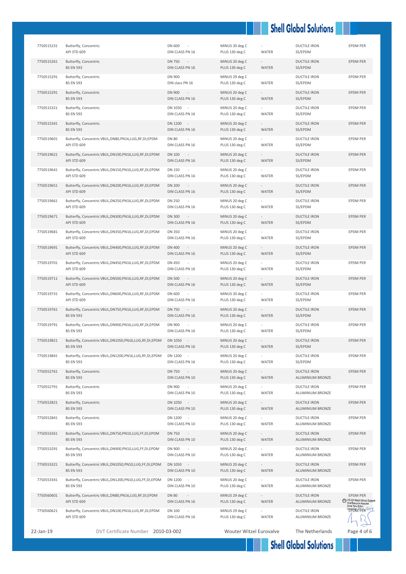| 7750515231 | Butterfly, Concentric<br>API STD 609                                            | DN 600<br>DIN CLASS PN 16                  | MINUS 20 deg C<br>PLUS 130 deg C | WATER                             | <b>DUCTILE IRON</b><br>SS/EPDM          | <b>EPDM PER</b>                                                                                                            |
|------------|---------------------------------------------------------------------------------|--------------------------------------------|----------------------------------|-----------------------------------|-----------------------------------------|----------------------------------------------------------------------------------------------------------------------------|
| 7750515261 | Butterfly, Concentric<br><b>BS EN 593</b>                                       | <b>DN 750</b><br>$\sim$<br>DIN CLASS PN 16 | MINUS 20 deg C<br>PLUS 130 deg C | $\sim$<br>WATER                   | <b>DUCTILE IRON</b><br>SS/EPDM          | EPDM PER                                                                                                                   |
| 7750515291 | Butterfly, Concentric<br><b>BS EN 593</b>                                       | <b>DN 900</b><br>DIN class PN 16           | MINUS 29 deg C<br>PLUS 130 deg C | WATER                             | <b>DUCTILE IRON</b><br>SS/EPDM          | <b>EPDM PER</b>                                                                                                            |
| 7750515291 | Butterfly, Concentric<br><b>BS EN 593</b>                                       | <b>DN 900</b><br>$\sim$<br>DIN CLASS PN 16 | MINUS 20 deg C<br>PLUS 130 deg C | WATER                             | <b>DUCTILE IRON</b><br>SS/EPDM          | <b>EPDM PER</b>                                                                                                            |
| 7750515321 | Butterfly, Concentric<br><b>BS EN 593</b>                                       | DN 1050 -<br>DIN CLASS PN 16               | MINUS 20 deg C<br>PLUS 130 deg C | WATER                             | <b>DUCTILE IRON</b><br>SS/EPDM          | EPDM PER                                                                                                                   |
| 7750515341 | Butterfly, Concentric<br><b>BS EN 593</b>                                       | DN 1200 -<br>DIN CLASS PN 16               | MINUS 20 deg C<br>PLUS 130 deg C | $\sim$<br>WATER                   | <b>DUCTILE IRON</b><br>SS/EPDM          | <b>EPDM PER</b>                                                                                                            |
| 7750519601 | Butterfly, Concentric VBUL, DN80, PN16, LUG, RF, DI, EPDM<br>API STD 609        | <b>DN 80</b><br>DIN CLASS PN 16            | MINUS 20 deg C<br>PLUS 130 deg C | WATER                             | <b>DUCTILE IRON</b><br>SS/EPDM          | EPDM PER                                                                                                                   |
| 7750519621 | Butterfly, Concentric VBUL, DN100, PN16, LUG, RF, DI, EPDM<br>API STD 609       | <b>DN 100</b><br>$\sim$<br>DIN CLASS PN 16 | MINUS 20 deg C<br>PLUS 130 deg C | $\overline{\phantom{a}}$<br>WATER | <b>DUCTILE IRON</b><br>SS/EPDM          | <b>EPDM PER</b>                                                                                                            |
| 7750519641 | Butterfly, Concentric VBUL, DN150, PN16, LUG, RF, DI, EPDM<br>API STD 609       | DN 150<br>$\sim$<br>DIN CLASS PN 16        | MINUS 20 deg C<br>PLUS 130 deg C | WATER                             | <b>DUCTILE IRON</b><br>SS/EPDM          | <b>EPDM PER</b>                                                                                                            |
| 7750519651 | Butterfly, Concentric VBUL, DN200, PN16, LUG, RF, DI, EPDM<br>API STD 609       | <b>DN 200</b><br>$\sim$<br>DIN CLASS PN 16 | MINUS 20 deg C<br>PLUS 130 deg C | <b>WATER</b>                      | <b>DUCTILE IRON</b><br>SS/EPDM          | <b>EPDM PER</b>                                                                                                            |
| 7750519661 | Butterfly, Concentric VBUL, DN250, PN16, LUG, RF, DI, EPDM<br>API STD 609       | <b>DN 250</b><br>DIN CLASS PN 16           | MINUS 20 deg C<br>PLUS 130 deg C | <b>WATER</b>                      | <b>DUCTILE IRON</b><br>SS/EPDM          | <b>EPDM PER</b>                                                                                                            |
| 7750519671 | Butterfly, Concentric VBUL, DN300, PN16, LUG, RF, DI, EPDM<br>API STD 609       | <b>DN 300</b><br>$\sim$<br>DIN CLASS PN 16 | MINUS 20 deg C<br>PLUS 130 deg C | $\sim$<br>WATER                   | <b>DUCTILE IRON</b><br>SS/EPDM          | EPDM PER                                                                                                                   |
| 7750519681 | Butterfly, Concentric VBUL, DN350, PN16, LUG, RF, DI, EPDM<br>API STD 609       | <b>DN 350</b><br>$\sim$<br>DIN CLASS PN 16 | MINUS 20 deg C<br>PLUS 130 deg C | WATER                             | <b>DUCTILE IRON</b><br>SS/EPDM          | EPDM PER                                                                                                                   |
| 7750519691 | Butterfly, Concentric VBUL, DN400, PN16, LUG, RF, DI, EPDM<br>API STD 609       | <b>DN 400</b><br>$\sim$<br>DIN CLASS PN 16 | MINUS 20 deg C<br>PLUS 130 deg C | WATER                             | <b>DUCTILE IRON</b><br>SS/EPDM          | <b>EPDM PER</b>                                                                                                            |
| 7750519701 | Butterfly, Concentric VBUL, DN450, PN16, LUG, RF, DI, EPDM<br>API STD 609       | DN 450<br>DIN CLASS PN 16                  | MINUS 20 deg C<br>PLUS 130 deg C | WATER                             | <b>DUCTILE IRON</b><br>SS/EPDM          | EPDM PER                                                                                                                   |
| 7750519711 | Butterfly, Concentric VBUL, DN500, PN16, LUG, RF, DI, EPDM<br>API STD 609       | <b>DN 500</b><br>DIN CLASS PN 16           | MINUS 20 deg C<br>PLUS 130 deg C | WATER                             | <b>DUCTILE IRON</b><br>SS/EPDM          | <b>EPDM PER</b>                                                                                                            |
| 7750519731 | Butterfly, Concentric VBUL, DN600, PN16, LUG, RF, DI, EPDM<br>API STD 609       | DN 600<br>DIN CLASS PN 16                  | MINUS 20 deg C<br>PLUS 130 deg C | WATER                             | <b>DUCTILE IRON</b><br>SS/EPDM          | <b>EPDM PER</b>                                                                                                            |
| 7750519761 | Butterfly, Concentric VBUL, DN750, PN16, LUG, RF, DI, EPDM<br><b>BS EN 593</b>  | <b>DN 750</b><br>$\sim$<br>DIN CLASS PN 16 | MINUS 20 deg C<br>PLUS 130 deg C | $\sim$<br>WATER                   | <b>DUCTILE IRON</b><br>SS/EPDM          | <b>EPDM PER</b>                                                                                                            |
| 7750519791 | Butterfly, Concentric VBUL, DN900, PN16, LUG, RF, DI, EPDM<br><b>BS EN 593</b>  | DN 900<br>$\sim$<br>DIN CLASS PN 16        | MINUS 20 deg C<br>PLUS 130 deg C | WATER                             | <b>DUCTILE IRON</b><br>SS/EPDM          | EPDM PER                                                                                                                   |
| 7750519821 | Butterfly, Concentric VBUL, DN1050, PN16, LUG, RF, DI, EPDM<br><b>BS EN 593</b> | DN 1050<br>$\sim$<br>DIN CLASS PN 16       | MINUS 20 deg C<br>PLUS 130 deg C | WATER                             | <b>DUCTILE IRON</b><br>SS/EPDM          | EPDM PER                                                                                                                   |
| 7750519841 | Butterfly, Concentric VBUL, DN1200, PN16, LUG, RF, DI, EPDM<br><b>BS EN 593</b> | DN 1200<br>DIN CLASS PN 16                 | MINUS 20 deg C<br>PLUS 130 deg C | WATER                             | <b>DUCTILE IRON</b><br>SS/EPDM          | EPDM PER                                                                                                                   |
| 7750552761 | Butterfly, Concentric<br><b>BS EN 593</b>                                       | DN 750<br>$\sim$<br>DIN CLASS PN 10        | MINUS 20 deg C<br>PLUS 130 deg C | $\overline{\phantom{a}}$<br>WATER | <b>DUCTILE IRON</b><br>ALUMINIUM BRONZE | EPDM PER                                                                                                                   |
| 7750552791 | Butterfly, Concentric<br><b>BS EN 593</b>                                       | <b>DN 900</b><br>DIN CLASS PN 10           | MINUS 20 deg C<br>PLUS 130 deg C | WATER                             | <b>DUCTILE IRON</b><br>ALUMINIUM BRONZE | <b>EPDM PER</b>                                                                                                            |
| 7750552821 | Butterfly, Concentric<br><b>BS EN 593</b>                                       | DN 1050 -<br>DIN CLASS PN 10               | MINUS 20 deg C<br>PLUS 130 deg C | WATER                             | <b>DUCTILE IRON</b><br>ALUMINIUM BRONZE | <b>EPDM PER</b>                                                                                                            |
| 7750552841 | Butterfly, Concentric<br><b>BS EN 593</b>                                       | DN 1200 -<br>DIN CLASS PN 10               | MINUS 20 deg C<br>PLUS 130 deg C | WATER                             | <b>DUCTILE IRON</b><br>ALUMINIUM BRONZE | EPDM PER                                                                                                                   |
| 7750553261 | Butterfly, Concentric VBUL, DN750, PN10, LUG, FF, DI, EPDM<br><b>BS EN 593</b>  | DN 750<br>DIN CLASS PN 10                  | MINUS 20 deg C<br>PLUS 130 deg C | WATER                             | <b>DUCTILE IRON</b><br>ALUMINIUM BRONZE | EPDM PER                                                                                                                   |
| 7750553291 | Butterfly, Concentric VBUL, DN900, PN10, LUG, FF, DI, EPDM<br><b>BS EN 593</b>  | DN 900<br>DIN CLASS PN 10                  | MINUS 20 deg C<br>PLUS 130 deg C | WATER                             | <b>DUCTILE IRON</b><br>ALUMINIUM BRONZE | EPDM PER                                                                                                                   |
| 7750553321 | Butterfly, Concentric VBUL, DN1050, PN10, LUG, FF, DI, EPDM<br><b>BS EN 593</b> | DN 1050 -<br>DIN CLASS PN 10               | MINUS 20 deg C<br>PLUS 130 deg C | WATER                             | <b>DUCTILE IRON</b><br>ALUMINIUM BRONZE | EPDM PER                                                                                                                   |
| 7750553341 | Butterfly, Concentric VBUL, DN1200, PN10, LUG, FF, DI, EPDM<br><b>BS EN 593</b> | DN 1200<br>$\sim$<br>DIN CLASS PN 10       | MINUS 20 deg C<br>PLUS 130 deg C | WATER                             | <b>DUCTILE IRON</b><br>ALUMINIUM BRONZE | <b>EPDM PER</b>                                                                                                            |
| 7750560601 | Butterfly, Concentric VBUL, DN80, PN16, LUG, RF, DI, EPDM<br>API STD 609        | <b>DN 80</b><br>$\sim$<br>DIN CLASS PN 16  | MINUS 29 deg C<br>PLUS 130 deg C | WATER                             | <b>DUCTILE IRON</b><br>ALUMINIUM BRONZE | <b>EPDM PER</b><br>WS-021 Mech. Valves Support<br>Shell Enterprise Accepted<br>Name: Tony Bolton<br>Date & Sign: 211112019 |
| 7750560621 | Butterfly, Concentric VBUL, DN100, PN16, LUG, RF, DI, EPDM<br>API STD 609       | <b>DN 100</b><br>DIN CLASS PN 16           | MINUS 29 deg C<br>PLUS 130 deg C | WATER                             | <b>DUCTILE IRON</b><br>ALUMINIUM BRONZE |                                                                                                                            |
| 22-Jan-19  | DVT Certificate Number 2010-03-002                                              |                                            | <b>Wouter Witzel Eurovalve</b>   |                                   | The Netherlands                         | Page 4 of 6                                                                                                                |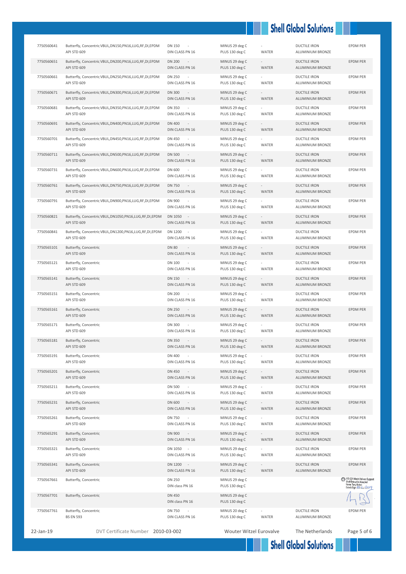| 7750560641 | Butterfly, Concentric VBUL, DN150, PN16, LUG, RF, DI, EPDM<br>API STD 609  | <b>DN 150</b><br>DIN CLASS PN 16               | MINUS 29 deg C<br>PLUS 130 deg C | WATER                             | <b>DUCTILE IRON</b><br>ALUMINIUM BRONZE | <b>EPDM PER</b>                                                                                                |
|------------|----------------------------------------------------------------------------|------------------------------------------------|----------------------------------|-----------------------------------|-----------------------------------------|----------------------------------------------------------------------------------------------------------------|
| 7750560651 | Butterfly, Concentric VBUL, DN200, PN16, LUG, RF, DI, EPDM<br>API STD 609  | <b>DN 200</b><br>$\sim$<br>DIN CLASS PN 16     | MINUS 29 deg C<br>PLUS 130 deg C | $\sim$<br>WATER                   | <b>DUCTILE IRON</b><br>ALUMINIUM BRONZE | <b>EPDM PER</b>                                                                                                |
| 7750560661 | Butterfly, Concentric VBUL, DN250, PN16, LUG, RF, DI, EPDM<br>API STD 609  | <b>DN 250</b><br>$\sim$<br>DIN CLASS PN 16     | MINUS 29 deg C<br>PLUS 130 deg C | WATER                             | <b>DUCTILE IRON</b><br>ALUMINIUM BRONZE | EPDM PER                                                                                                       |
| 7750560671 | Butterfly, Concentric VBUL, DN300, PN16, LUG, RF, DI, EPDM<br>API STD 609  | <b>DN 300</b><br>$\sim$ $-$<br>DIN CLASS PN 16 | MINUS 29 deg C<br>PLUS 130 deg C | $\sim$<br>WATER                   | <b>DUCTILE IRON</b><br>ALUMINIUM BRONZE | EPDM PER                                                                                                       |
| 7750560681 | Butterfly, Concentric VBUL, DN350, PN16, LUG, RF, DI, EPDM<br>API STD 609  | <b>DN 350</b><br>DIN CLASS PN 16               | MINUS 29 deg C<br>PLUS 130 deg C | WATER                             | <b>DUCTILE IRON</b><br>ALUMINIUM BRONZE | <b>EPDM PER</b>                                                                                                |
| 7750560691 | Butterfly, Concentric VBUL, DN400, PN16, LUG, RF, DI, EPDM<br>API STD 609  | <b>DN 400</b><br>$\sim$<br>DIN CLASS PN 16     | MINUS 29 deg C<br>PLUS 130 deg C | WATER                             | <b>DUCTILE IRON</b><br>ALUMINIUM BRONZE | <b>EPDM PER</b>                                                                                                |
| 7750560701 | Butterfly, Concentric VBUL, DN450, PN16, LUG, RF, DI, EPDM<br>API STD 609  | DN 450<br>DIN CLASS PN 16                      | MINUS 29 deg C<br>PLUS 130 deg C | WATER                             | <b>DUCTILE IRON</b><br>ALUMINIUM BRONZE | EPDM PER                                                                                                       |
| 7750560711 | Butterfly, Concentric VBUL, DN500, PN16, LUG, RF, DI, EPDM<br>API STD 609  | <b>DN 500</b><br>$\sim$ $-$<br>DIN CLASS PN 16 | MINUS 29 deg C<br>PLUS 130 deg C | WATER                             | <b>DUCTILE IRON</b><br>ALUMINIUM BRONZE | <b>EPDM PER</b>                                                                                                |
| 7750560731 | Butterfly, Concentric VBUL, DN600, PN16, LUG, RF, DI, EPDM<br>API STD 609  | DN 600<br>DIN CLASS PN 16                      | MINUS 29 deg C<br>PLUS 130 deg C | WATER                             | <b>DUCTILE IRON</b><br>ALUMINIUM BRONZE | EPDM PER                                                                                                       |
| 7750560761 | Butterfly, Concentric VBUL, DN750, PN16, LUG, RF, DI, EPDM<br>API STD 609  | DN 750<br>$\sim$<br>DIN CLASS PN 16            | MINUS 29 deg C<br>PLUS 130 deg C | $\sim$<br>WATER                   | <b>DUCTILE IRON</b><br>ALUMINIUM BRONZE | EPDM PER                                                                                                       |
| 7750560791 | Butterfly, Concentric VBUL, DN900, PN16, LUG, RF, DI, EPDM<br>API STD 609  | <b>DN 900</b><br>$\sim$<br>DIN CLASS PN 16     | MINUS 29 deg C<br>PLUS 130 deg C | WATER                             | <b>DUCTILE IRON</b><br>ALUMINIUM BRONZE | <b>EPDM PER</b>                                                                                                |
| 7750560821 | Butterfly, Concentric VBUL, DN1050, PN16, LUG, RF, DI, EPDM<br>API STD 609 | DN 1050 -<br>DIN CLASS PN 16                   | MINUS 29 deg C<br>PLUS 130 deg C | WATER                             | <b>DUCTILE IRON</b><br>ALUMINIUM BRONZE | <b>EPDM PER</b>                                                                                                |
| 7750560841 | Butterfly, Concentric VBUL, DN1200, PN16, LUG, RF, DI, EPDM<br>API STD 609 | DN 1200 -<br>DIN CLASS PN 16                   | MINUS 29 deg C<br>PLUS 130 deg C | WATER                             | <b>DUCTILE IRON</b><br>ALUMINIUM BRONZE | EPDM PER                                                                                                       |
| 7750565101 | Butterfly, Concentric<br>API STD 609                                       | <b>DN 80</b><br>$\sim$<br>DIN CLASS PN 16      | MINUS 29 deg C<br>PLUS 130 deg C | $\sim$<br>WATER                   | <b>DUCTILE IRON</b><br>ALUMINIUM BRONZE | <b>EPDM PER</b>                                                                                                |
| 7750565121 | Butterfly, Concentric<br>API STD 609                                       | DN 100<br>DIN CLASS PN 16                      | MINUS 29 deg C<br>PLUS 130 deg C | WATER                             | <b>DUCTILE IRON</b><br>ALUMINIUM BRONZE | EPDM PER                                                                                                       |
| 7750565141 | Butterfly, Concentric<br>API STD 609                                       | DN 150<br>$\sim$ $-$<br>DIN CLASS PN 16        | MINUS 29 deg C<br>PLUS 130 deg C | $\sim$<br>WATER                   | <b>DUCTILE IRON</b><br>ALUMINIUM BRONZE | EPDM PER                                                                                                       |
| 7750565151 | Butterfly, Concentric<br>API STD 609                                       | DN 200<br>$\sim$<br>DIN CLASS PN 16            | MINUS 29 deg C<br>PLUS 130 deg C | WATER                             | <b>DUCTILE IRON</b><br>ALUMINIUM BRONZE | EPDM PER                                                                                                       |
| 7750565161 | Butterfly, Concentric<br>API STD 609                                       | <b>DN 250</b><br>$\sim$ $-$<br>DIN CLASS PN 16 | MINUS 29 deg C<br>PLUS 130 deg C | WATER                             | <b>DUCTILE IRON</b><br>ALUMINIUM BRONZE | <b>EPDM PER</b>                                                                                                |
| 7750565171 | Butterfly, Concentric<br>API STD 609                                       | DN 300<br>DIN CLASS PN 16                      | MINUS 29 deg C<br>PLUS 130 deg C | WATER                             | <b>DUCTILE IRON</b><br>ALUMINIUM BRONZE | EPDM PER                                                                                                       |
| 7750565181 | Butterfly, Concentric<br>API STD 609                                       | <b>DN 350</b><br>$\sim$<br>DIN CLASS PN 16     | MINUS 29 deg C<br>PLUS 130 deg C | $\sim$<br>WATER                   | <b>DUCTILE IRON</b><br>ALUMINIUM BRONZE | <b>EPDM PER</b>                                                                                                |
| 7750565191 | Butterfly, Concentric<br>API STD 609                                       | DN 400<br>DIN CLASS PN 16                      | MINUS 29 deg C<br>PLUS 130 deg C | WATER                             | <b>DUCTILE IRON</b><br>ALUMINIUM BRONZE | EPDM PER                                                                                                       |
| 7750565201 | Butterfly, Concentric<br>API STD 609                                       | <b>DN 450</b><br>DIN CLASS PN 16               | MINUS 29 deg C<br>PLUS 130 deg C | WATER                             | <b>DUCTILE IRON</b><br>ALUMINIUM BRONZE | EPDM PER                                                                                                       |
| 7750565211 | Butterfly, Concentric<br>API STD 609                                       | DN 500<br>DIN CLASS PN 16                      | MINUS 29 deg C<br>PLUS 130 deg C | WATER                             | DUCTILE IRON<br>ALUMINIUM BRONZE        | EPDM PER                                                                                                       |
| 7750565231 | Butterfly, Concentric<br>API STD 609                                       | DN 600<br>DIN CLASS PN 16                      | MINUS 29 deg C<br>PLUS 130 deg C | $\overline{\phantom{a}}$<br>WATER | <b>DUCTILE IRON</b><br>ALUMINIUM BRONZE | <b>EPDM PER</b>                                                                                                |
| 7750565261 | Butterfly, Concentric<br>API STD 609                                       | DN 750<br>DIN CLASS PN 16                      | MINUS 29 deg C<br>PLUS 130 deg C | WATER                             | <b>DUCTILE IRON</b><br>ALUMINIUM BRONZE | <b>EPDM PER</b>                                                                                                |
| 7750565291 | Butterfly, Concentric<br>API STD 609                                       | <b>DN 900</b><br>$\sim$ $-$<br>DIN CLASS PN 16 | MINUS 29 deg C<br>PLUS 130 deg C | $\overline{\phantom{a}}$<br>WATER | <b>DUCTILE IRON</b><br>ALUMINIUM BRONZE | <b>EPDM PER</b>                                                                                                |
| 7750565321 | Butterfly, Concentric<br>API STD 609                                       | DN 1050 -<br>DIN CLASS PN 16                   | MINUS 29 deg C<br>PLUS 130 deg C | WATER                             | <b>DUCTILE IRON</b><br>ALUMINIUM BRONZE | EPDM PER                                                                                                       |
| 7750565341 | Butterfly, Concentric<br>API STD 609                                       | DN 1200 -<br>DIN CLASS PN 16                   | MINUS 29 deg C<br>PLUS 130 deg C | $\sim$<br>WATER                   | <b>DUCTILE IRON</b><br>ALUMINIUM BRONZE | EPDM PER                                                                                                       |
| 7750567661 | Butterfly, Concentric                                                      | DN 250<br>DIN class PN 16                      | MINUS 29 deg C<br>PLUS 130 deg C |                                   |                                         | MB VS-021 Mech. Valves Support<br>Shell Enterprise Accepted<br>Name: Tony Bolton<br>Date & Sign: 2.1/1, / 2019 |
| 7750567701 | Butterfly, Concentric                                                      | <b>DN 450</b><br>DIN class PN 16               | MINUS 29 deg C<br>PLUS 130 deg C |                                   |                                         |                                                                                                                |
| 7750567761 | Butterfly, Concentric<br><b>BS EN 593</b>                                  | DN 750<br>DIN CLASS PN 16                      | MINUS 20 deg C<br>PLUS 130 deg C | WATER                             | <b>DUCTILE IRON</b><br>ALUMINIUM BRONZE | EPDM PER                                                                                                       |
| 22-Jan-19  | DVT Certificate Number 2010-03-002                                         |                                                | Wouter Witzel Eurovalve          |                                   | The Netherlands                         | Page 5 of 6                                                                                                    |